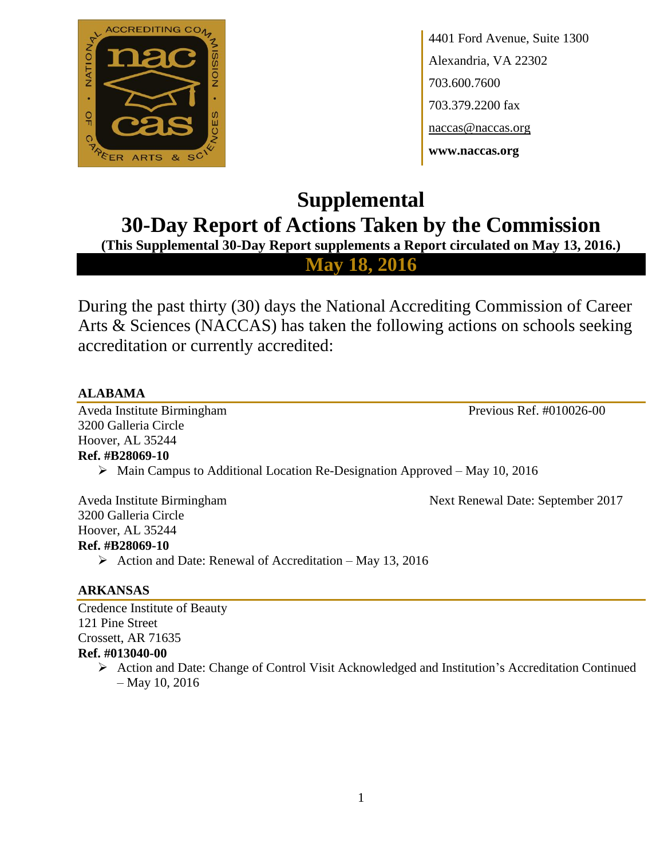

4401 Ford Avenue, Suite 1300 Alexandria, VA 22302 703.600.7600 703.379.2200 fax naccas@naccas.org **www.naccas.org**

# **Supplemental 30-Day Report of Actions Taken by the Commission**

**(This Supplemental 30-Day Report supplements a Report circulated on May 13, 2016.)**

**May 18, 2016**

During the past thirty (30) days the National Accrediting Commission of Career Arts & Sciences (NACCAS) has taken the following actions on schools seeking accreditation or currently accredited:

# **ALABAMA**

Aveda Institute Birmingham Previous Ref. #010026-00 3200 Galleria Circle Hoover, AL 35244 **Ref. #B28069-10**

Main Campus to Additional Location Re-Designation Approved – May 10, 2016

Aveda Institute Birmingham Next Renewal Date: September 2017 3200 Galleria Circle Hoover, AL 35244 **Ref. #B28069-10**

 $\triangleright$  Action and Date: Renewal of Accreditation – May 13, 2016

# **ARKANSAS**

Credence Institute of Beauty 121 Pine Street Crossett, AR 71635 **Ref. #013040-00**

 Action and Date: Change of Control Visit Acknowledged and Institution's Accreditation Continued – May 10, 2016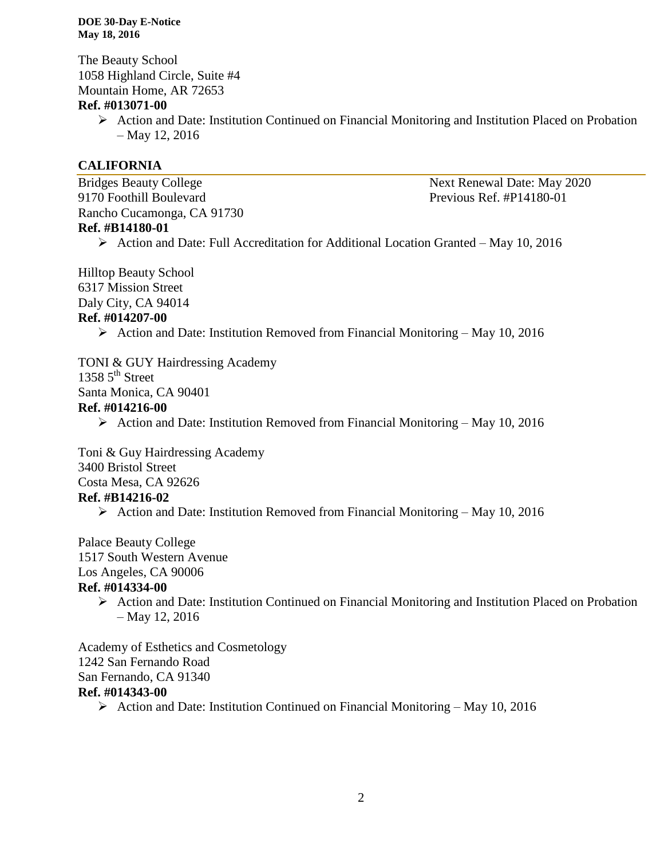The Beauty School 1058 Highland Circle, Suite #4 Mountain Home, AR 72653

#### **Ref. #013071-00**

 Action and Date: Institution Continued on Financial Monitoring and Institution Placed on Probation – May 12, 2016

#### **CALIFORNIA**

Bridges Beauty College Next Renewal Date: May 2020 9170 Foothill Boulevard Previous Ref. #P14180-01 Rancho Cucamonga, CA 91730 **Ref. #B14180-01**

Action and Date: Full Accreditation for Additional Location Granted – May 10, 2016

Hilltop Beauty School 6317 Mission Street Daly City, CA 94014 **Ref. #014207-00**

 $\triangleright$  Action and Date: Institution Removed from Financial Monitoring – May 10, 2016

TONI & GUY Hairdressing Academy 1358  $5^{\text{th}}$  Street Santa Monica, CA 90401 **Ref. #014216-00**

 $\triangleright$  Action and Date: Institution Removed from Financial Monitoring – May 10, 2016

Toni & Guy Hairdressing Academy 3400 Bristol Street Costa Mesa, CA 92626

#### **Ref. #B14216-02**

 $\triangleright$  Action and Date: Institution Removed from Financial Monitoring – May 10, 2016

Palace Beauty College

1517 South Western Avenue

Los Angeles, CA 90006

#### **Ref. #014334-00**

 $\triangleright$  Action and Date: Institution Continued on Financial Monitoring and Institution Placed on Probation – May 12, 2016

Academy of Esthetics and Cosmetology 1242 San Fernando Road San Fernando, CA 91340 **Ref. #014343-00**

Action and Date: Institution Continued on Financial Monitoring – May 10, 2016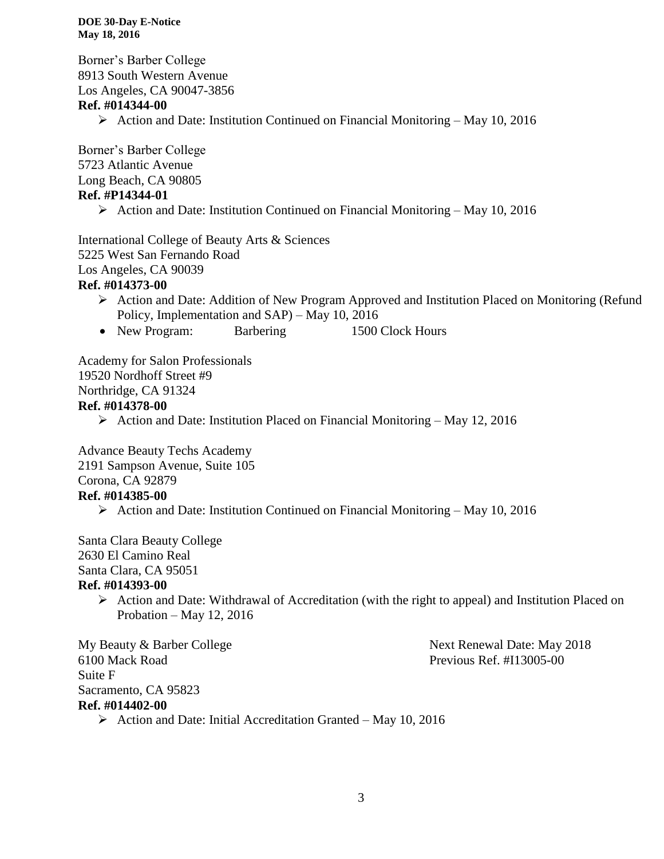Borner's Barber College 8913 South Western Avenue Los Angeles, CA 90047-3856 **Ref. #014344-00**

 $\triangleright$  Action and Date: Institution Continued on Financial Monitoring – May 10, 2016

Borner's Barber College 5723 Atlantic Avenue Long Beach, CA 90805 **Ref. #P14344-01**

 $\triangleright$  Action and Date: Institution Continued on Financial Monitoring – May 10, 2016

International College of Beauty Arts & Sciences 5225 West San Fernando Road Los Angeles, CA 90039

#### **Ref. #014373-00**

- Action and Date: Addition of New Program Approved and Institution Placed on Monitoring (Refund Policy, Implementation and SAP) – May 10, 2016
- New Program: Barbering 1500 Clock Hours

Academy for Salon Professionals 19520 Nordhoff Street #9 Northridge, CA 91324 **Ref. #014378-00**

Action and Date: Institution Placed on Financial Monitoring – May 12, 2016

Advance Beauty Techs Academy 2191 Sampson Avenue, Suite 105 Corona, CA 92879

### **Ref. #014385-00**

 $\triangleright$  Action and Date: Institution Continued on Financial Monitoring – May 10, 2016

Santa Clara Beauty College 2630 El Camino Real Santa Clara, CA 95051 **Ref. #014393-00**

 $\triangleright$  Action and Date: Withdrawal of Accreditation (with the right to appeal) and Institution Placed on Probation – May 12, 2016

6100 Mack Road Previous Ref. #I13005-00 Suite F Sacramento, CA 95823 **Ref. #014402-00**

My Beauty & Barber College Next Renewal Date: May 2018

 $\triangleright$  Action and Date: Initial Accreditation Granted – May 10, 2016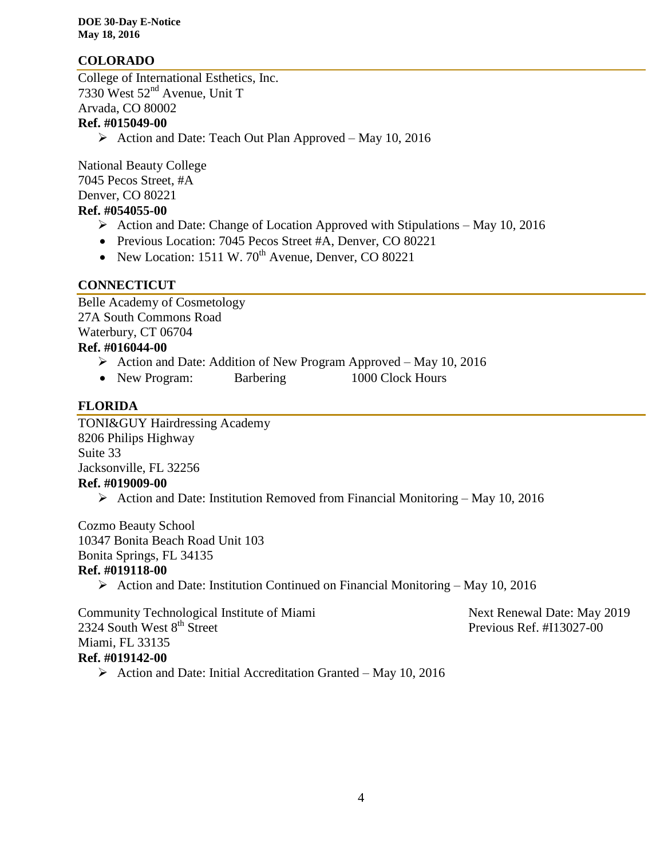### **COLORADO**

College of International Esthetics, Inc. 7330 West 52nd Avenue, Unit T Arvada, CO 80002

#### **Ref. #015049-00**

 $\triangleright$  Action and Date: Teach Out Plan Approved – May 10, 2016

National Beauty College 7045 Pecos Street, #A Denver, CO 80221

# **Ref. #054055-00**

- $\triangleright$  Action and Date: Change of Location Approved with Stipulations May 10, 2016
- Previous Location: 7045 Pecos Street #A, Denver, CO 80221
- New Location: 1511 W.  $70^{th}$  Avenue, Denver, CO 80221

#### **CONNECTICUT**

Belle Academy of Cosmetology 27A South Commons Road Waterbury, CT 06704

# **Ref. #016044-00**

- $\triangleright$  Action and Date: Addition of New Program Approved May 10, 2016
- New Program: Barbering 1000 Clock Hours

### **FLORIDA**

TONI&GUY Hairdressing Academy 8206 Philips Highway Suite 33 Jacksonville, FL 32256 **Ref. #019009-00**

Action and Date: Institution Removed from Financial Monitoring – May 10, 2016

Cozmo Beauty School 10347 Bonita Beach Road Unit 103 Bonita Springs, FL 34135

#### **Ref. #019118-00**

 $\triangleright$  Action and Date: Institution Continued on Financial Monitoring – May 10, 2016

Community Technological Institute of Miami Next Renewal Date: May 2019 2324 South West 8<sup>th</sup> Street Previous Ref. #I13027-00 Miami, FL 33135 **Ref. #019142-00**

 $\triangleright$  Action and Date: Initial Accreditation Granted – May 10, 2016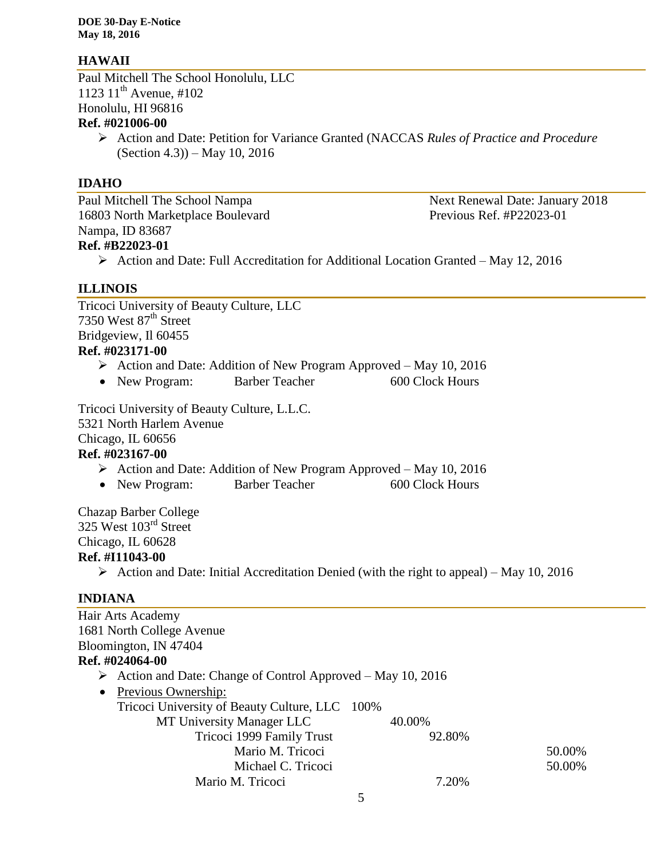#### **HAWAII**

Paul Mitchell The School Honolulu, LLC 1123  $11^{th}$  Avenue, #102 Honolulu, HI 96816

# **Ref. #021006-00**

 Action and Date: Petition for Variance Granted (NACCAS *Rules of Practice and Procedure* (Section 4.3)) – May 10, 2016

#### **IDAHO**

Paul Mitchell The School Nampa<br>
Next Renewal Date: January 2018 16803 North Marketplace Boulevard Previous Ref. #P22023-01 Nampa, ID 83687 **Ref. #B22023-01**

Action and Date: Full Accreditation for Additional Location Granted – May 12, 2016

#### **ILLINOIS**

Tricoci University of Beauty Culture, LLC 7350 West 87<sup>th</sup> Street Bridgeview, Il 60455

# **Ref. #023171-00**

- $\triangleright$  Action and Date: Addition of New Program Approved May 10, 2016
- New Program: Barber Teacher 600 Clock Hours

Tricoci University of Beauty Culture, L.L.C. 5321 North Harlem Avenue Chicago, IL 60656 **Ref. #023167-00**

- - $\triangleright$  Action and Date: Addition of New Program Approved May 10, 2016
	- New Program: Barber Teacher 600 Clock Hours

Chazap Barber College 325 West 103rd Street Chicago, IL 60628

#### **Ref. #I11043-00**

 $\triangleright$  Action and Date: Initial Accreditation Denied (with the right to appeal) – May 10, 2016

### **INDIANA**

Hair Arts Academy 1681 North College Avenue Bloomington, IN 47404 **Ref. #024064-00**  $\triangleright$  Action and Date: Change of Control Approved – May 10, 2016 • Previous Ownership: Tricoci University of Beauty Culture, LLC 100% MT University Manager LLC 40.00% Tricoci 1999 Family Trust 92.80% Mario M. Tricoci 50.00% Michael C. Tricoci 50.00% Mario M. Tricoci 7.20%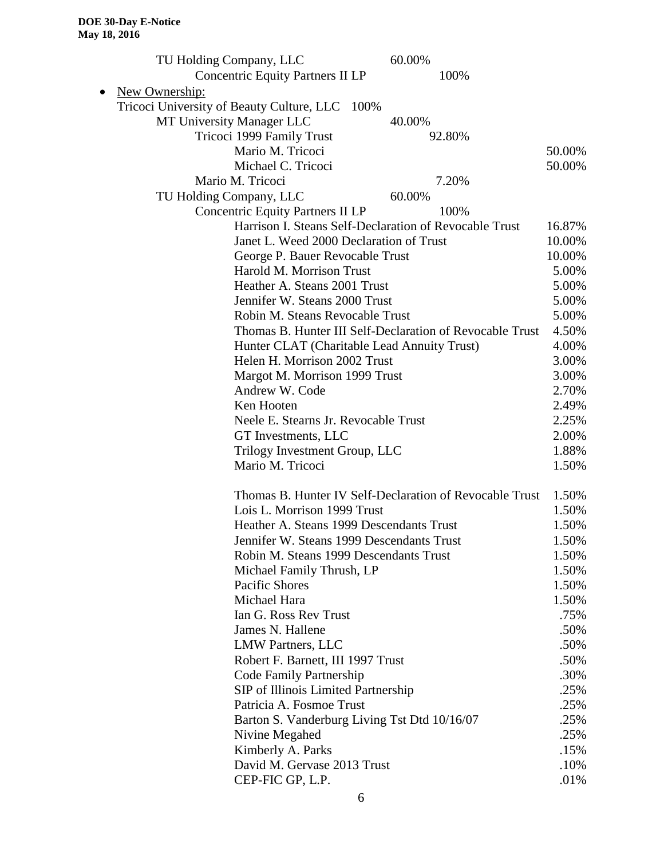|           | 60.00%<br>TU Holding Company, LLC                        |        |
|-----------|----------------------------------------------------------|--------|
|           | <b>Concentric Equity Partners II LP</b><br>100%          |        |
| $\bullet$ | New Ownership:                                           |        |
|           | Tricoci University of Beauty Culture, LLC 100%           |        |
|           | MT University Manager LLC<br>40.00%                      |        |
|           | Tricoci 1999 Family Trust<br>92.80%                      |        |
|           | Mario M. Tricoci                                         | 50.00% |
|           | Michael C. Tricoci                                       | 50.00% |
|           | Mario M. Tricoci<br>7.20%                                |        |
|           | TU Holding Company, LLC<br>60.00%                        |        |
|           | <b>Concentric Equity Partners II LP</b><br>100%          |        |
|           | Harrison I. Steans Self-Declaration of Revocable Trust   | 16.87% |
|           | Janet L. Weed 2000 Declaration of Trust                  | 10.00% |
|           | George P. Bauer Revocable Trust                          | 10.00% |
|           | Harold M. Morrison Trust                                 | 5.00%  |
|           | Heather A. Steans 2001 Trust                             | 5.00%  |
|           | Jennifer W. Steans 2000 Trust                            | 5.00%  |
|           | Robin M. Steans Revocable Trust                          | 5.00%  |
|           | Thomas B. Hunter III Self-Declaration of Revocable Trust | 4.50%  |
|           | Hunter CLAT (Charitable Lead Annuity Trust)              | 4.00%  |
|           | Helen H. Morrison 2002 Trust                             | 3.00%  |
|           | Margot M. Morrison 1999 Trust                            | 3.00%  |
|           | Andrew W. Code                                           | 2.70%  |
|           | Ken Hooten                                               | 2.49%  |
|           | Neele E. Stearns Jr. Revocable Trust                     | 2.25%  |
|           | GT Investments, LLC                                      | 2.00%  |
|           | Trilogy Investment Group, LLC                            | 1.88%  |
|           | Mario M. Tricoci                                         | 1.50%  |
|           | Thomas B. Hunter IV Self-Declaration of Revocable Trust  | 1.50%  |
|           | Lois L. Morrison 1999 Trust                              | 1.50%  |
|           | Heather A. Steans 1999 Descendants Trust                 | 1.50%  |
|           | Jennifer W. Steans 1999 Descendants Trust                | 1.50%  |
|           | Robin M. Steans 1999 Descendants Trust                   | 1.50%  |
|           | Michael Family Thrush, LP                                | 1.50%  |
|           | Pacific Shores                                           | 1.50%  |
|           | Michael Hara                                             | 1.50%  |
|           | Ian G. Ross Rev Trust                                    | .75%   |
|           | James N. Hallene                                         | .50%   |
|           | <b>LMW Partners, LLC</b>                                 | .50%   |
|           | Robert F. Barnett, III 1997 Trust                        | .50%   |
|           | Code Family Partnership                                  | .30%   |
|           | SIP of Illinois Limited Partnership                      | .25%   |
|           | Patricia A. Fosmoe Trust                                 | .25%   |
|           | Barton S. Vanderburg Living Tst Dtd 10/16/07             | .25%   |
|           | Nivine Megahed                                           | .25%   |
|           | Kimberly A. Parks                                        | .15%   |
|           | David M. Gervase 2013 Trust                              | .10%   |
|           | CEP-FIC GP, L.P.                                         | .01%   |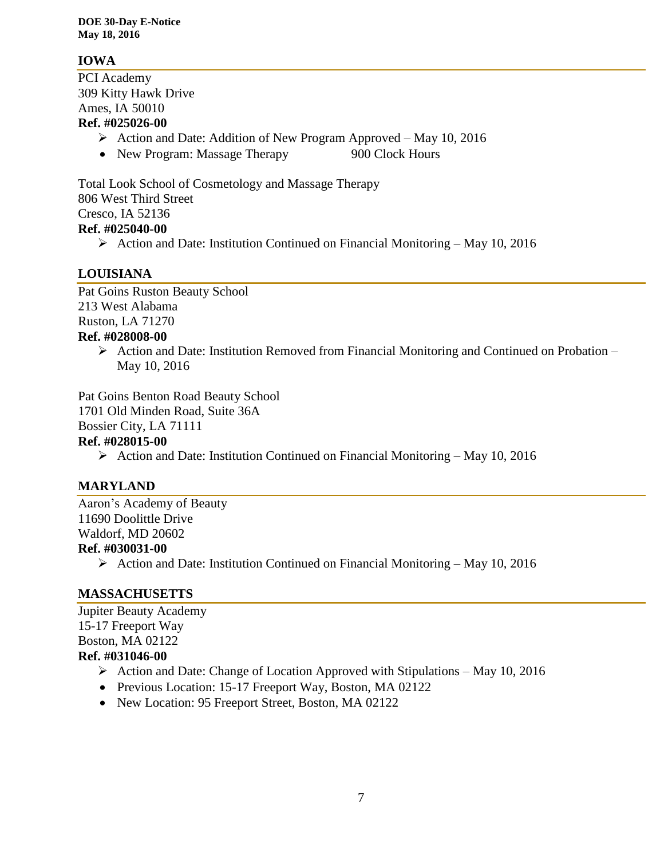### **IOWA**

PCI Academy 309 Kitty Hawk Drive Ames, IA 50010 **Ref. #025026-00**

- $\triangleright$  Action and Date: Addition of New Program Approved May 10, 2016
- New Program: Massage Therapy 900 Clock Hours

Total Look School of Cosmetology and Massage Therapy 806 West Third Street Cresco, IA 52136 **Ref. #025040-00**

 $\triangleright$  Action and Date: Institution Continued on Financial Monitoring – May 10, 2016

### **LOUISIANA**

Pat Goins Ruston Beauty School 213 West Alabama Ruston, LA 71270 **Ref. #028008-00**

> $\triangleright$  Action and Date: Institution Removed from Financial Monitoring and Continued on Probation – May 10, 2016

Pat Goins Benton Road Beauty School 1701 Old Minden Road, Suite 36A Bossier City, LA 71111

#### **Ref. #028015-00**

 $\triangleright$  Action and Date: Institution Continued on Financial Monitoring – May 10, 2016

### **MARYLAND**

Aaron's Academy of Beauty 11690 Doolittle Drive Waldorf, MD 20602 **Ref. #030031-00**

Action and Date: Institution Continued on Financial Monitoring – May 10, 2016

### **MASSACHUSETTS**

Jupiter Beauty Academy 15-17 Freeport Way Boston, MA 02122 **Ref. #031046-00**

- $\triangleright$  Action and Date: Change of Location Approved with Stipulations May 10, 2016
- Previous Location: 15-17 Freeport Way, Boston, MA 02122
- New Location: 95 Freeport Street, Boston, MA 02122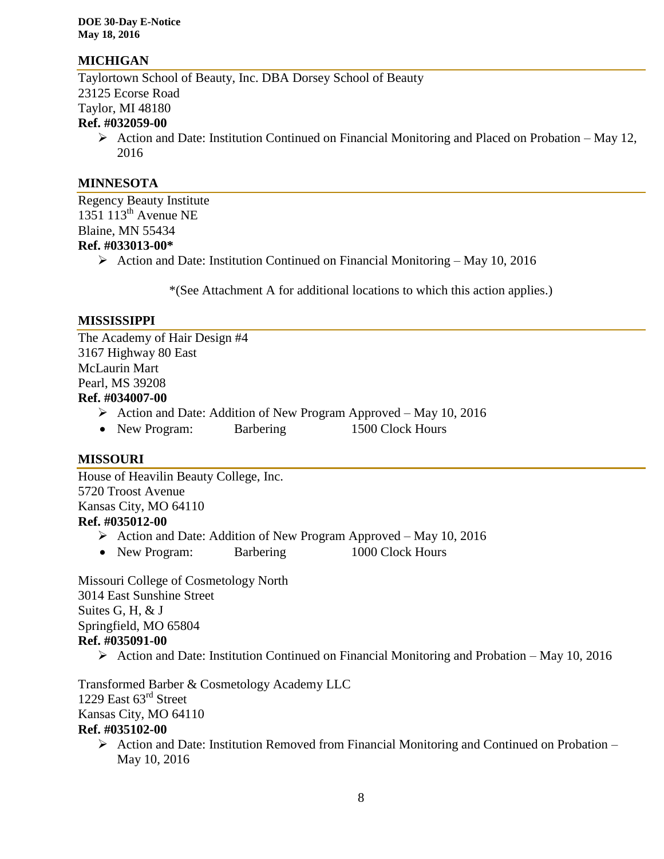#### **MICHIGAN**

Taylortown School of Beauty, Inc. DBA Dorsey School of Beauty 23125 Ecorse Road Taylor, MI 48180 **Ref. #032059-00**

 $\triangleright$  Action and Date: Institution Continued on Financial Monitoring and Placed on Probation – May 12, 2016

#### **MINNESOTA**

Regency Beauty Institute 1351 113<sup>th</sup> Avenue NE Blaine, MN 55434 **Ref. #033013-00\***

Action and Date: Institution Continued on Financial Monitoring – May 10, 2016

\*(See Attachment A for additional locations to which this action applies.)

#### **MISSISSIPPI**

The Academy of Hair Design #4 3167 Highway 80 East McLaurin Mart Pearl, MS 39208

#### **Ref. #034007-00**

- $\triangleright$  Action and Date: Addition of New Program Approved May 10, 2016
- New Program: Barbering 1500 Clock Hours

#### **MISSOURI**

House of Heavilin Beauty College, Inc. 5720 Troost Avenue Kansas City, MO 64110 **Ref. #035012-00**

- Action and Date: Addition of New Program Approved May 10, 2016
- New Program: Barbering 1000 Clock Hours

Missouri College of Cosmetology North 3014 East Sunshine Street Suites G, H, & J Springfield, MO 65804 **Ref. #035091-00**

 $\triangleright$  Action and Date: Institution Continued on Financial Monitoring and Probation – May 10, 2016

Transformed Barber & Cosmetology Academy LLC 1229 East 63<sup>rd</sup> Street Kansas City, MO 64110

#### **Ref. #035102-00**

 $\triangleright$  Action and Date: Institution Removed from Financial Monitoring and Continued on Probation – May 10, 2016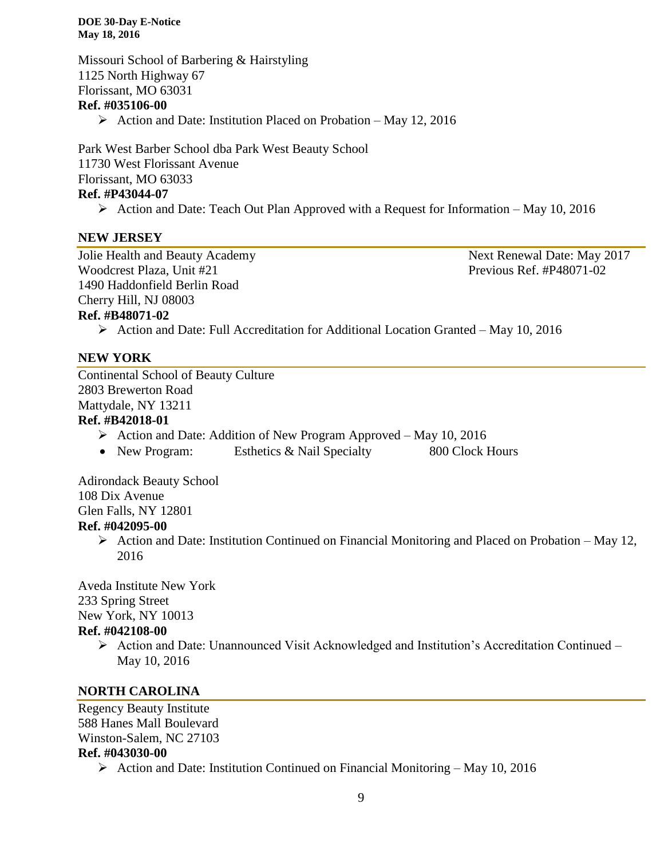Missouri School of Barbering & Hairstyling 1125 North Highway 67 Florissant, MO 63031 **Ref. #035106-00**

 $\triangleright$  Action and Date: Institution Placed on Probation – May 12, 2016

Park West Barber School dba Park West Beauty School 11730 West Florissant Avenue Florissant, MO 63033 **Ref. #P43044-07**

 $\triangleright$  Action and Date: Teach Out Plan Approved with a Request for Information – May 10, 2016

#### **NEW JERSEY**

Jolie Health and Beauty Academy **Next Renewal Date: May 2017** Woodcrest Plaza, Unit #21 Previous Ref. #P48071-02 1490 Haddonfield Berlin Road Cherry Hill, NJ 08003 **Ref. #B48071-02**

Action and Date: Full Accreditation for Additional Location Granted – May 10, 2016

#### **NEW YORK**

Continental School of Beauty Culture 2803 Brewerton Road Mattydale, NY 13211

# **Ref. #B42018-01**

- $\triangleright$  Action and Date: Addition of New Program Approved May 10, 2016
- New Program: Esthetics & Nail Specialty 800 Clock Hours

Adirondack Beauty School 108 Dix Avenue Glen Falls, NY 12801

#### **Ref. #042095-00**

 $\triangleright$  Action and Date: Institution Continued on Financial Monitoring and Placed on Probation – May 12, 2016

Aveda Institute New York

233 Spring Street

New York, NY 10013

#### **Ref. #042108-00**

 $\triangleright$  Action and Date: Unannounced Visit Acknowledged and Institution's Accreditation Continued – May 10, 2016

#### **NORTH CAROLINA**

Regency Beauty Institute 588 Hanes Mall Boulevard Winston-Salem, NC 27103 **Ref. #043030-00**

 $\triangleright$  Action and Date: Institution Continued on Financial Monitoring – May 10, 2016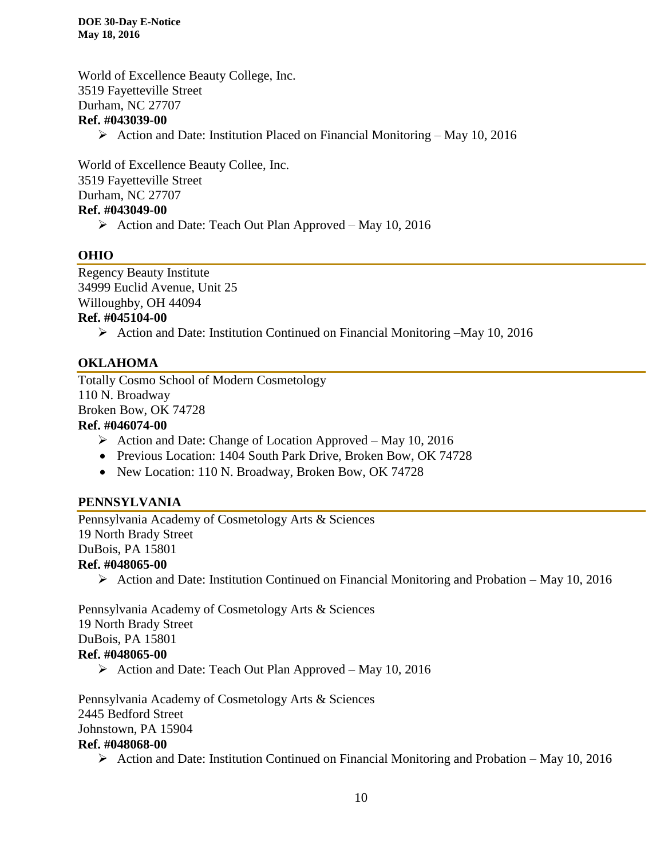World of Excellence Beauty College, Inc. 3519 Fayetteville Street Durham, NC 27707 **Ref. #043039-00** Action and Date: Institution Placed on Financial Monitoring – May 10, 2016

World of Excellence Beauty Collee, Inc. 3519 Fayetteville Street Durham, NC 27707

## **Ref. #043049-00**

 $\triangleright$  Action and Date: Teach Out Plan Approved – May 10, 2016

#### **OHIO**

Regency Beauty Institute 34999 Euclid Avenue, Unit 25 Willoughby, OH 44094

#### **Ref. #045104-00**

Action and Date: Institution Continued on Financial Monitoring –May 10, 2016

#### **OKLAHOMA**

Totally Cosmo School of Modern Cosmetology 110 N. Broadway Broken Bow, OK 74728 **Ref. #046074-00**

- $\triangleright$  Action and Date: Change of Location Approved May 10, 2016
- Previous Location: 1404 South Park Drive, Broken Bow, OK 74728
- New Location: 110 N. Broadway, Broken Bow, OK 74728

#### **PENNSYLVANIA**

Pennsylvania Academy of Cosmetology Arts & Sciences 19 North Brady Street DuBois, PA 15801 **Ref. #048065-00**

 $\triangleright$  Action and Date: Institution Continued on Financial Monitoring and Probation – May 10, 2016

Pennsylvania Academy of Cosmetology Arts & Sciences 19 North Brady Street DuBois, PA 15801 **Ref. #048065-00**

 $\triangleright$  Action and Date: Teach Out Plan Approved – May 10, 2016

Pennsylvania Academy of Cosmetology Arts & Sciences 2445 Bedford Street Johnstown, PA 15904 **Ref. #048068-00**

Action and Date: Institution Continued on Financial Monitoring and Probation – May 10, 2016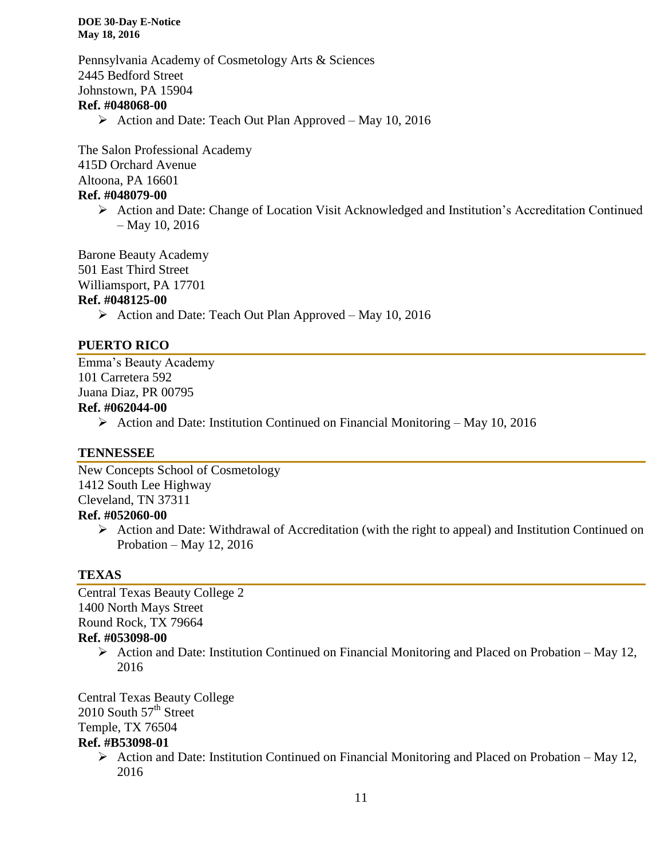Pennsylvania Academy of Cosmetology Arts & Sciences 2445 Bedford Street Johnstown, PA 15904

#### **Ref. #048068-00**

 $\triangleright$  Action and Date: Teach Out Plan Approved – May 10, 2016

The Salon Professional Academy 415D Orchard Avenue Altoona, PA 16601 **Ref. #048079-00**

> $\triangleright$  Action and Date: Change of Location Visit Acknowledged and Institution's Accreditation Continued – May 10, 2016

Barone Beauty Academy 501 East Third Street

Williamsport, PA 17701

# **Ref. #048125-00**

 $\triangleright$  Action and Date: Teach Out Plan Approved – May 10, 2016

#### **PUERTO RICO**

Emma's Beauty Academy 101 Carretera 592 Juana Diaz, PR 00795 **Ref. #062044-00**

 $\triangleright$  Action and Date: Institution Continued on Financial Monitoring – May 10, 2016

#### **TENNESSEE**

New Concepts School of Cosmetology 1412 South Lee Highway Cleveland, TN 37311 **Ref. #052060-00**

 $\triangleright$  Action and Date: Withdrawal of Accreditation (with the right to appeal) and Institution Continued on Probation – May 12, 2016

#### **TEXAS**

Central Texas Beauty College 2 1400 North Mays Street Round Rock, TX 79664

### **Ref. #053098-00**

 $\triangleright$  Action and Date: Institution Continued on Financial Monitoring and Placed on Probation – May 12, 2016

Central Texas Beauty College 2010 South  $57<sup>th</sup>$  Street Temple, TX 76504

#### **Ref. #B53098-01**

 $\triangleright$  Action and Date: Institution Continued on Financial Monitoring and Placed on Probation – May 12, 2016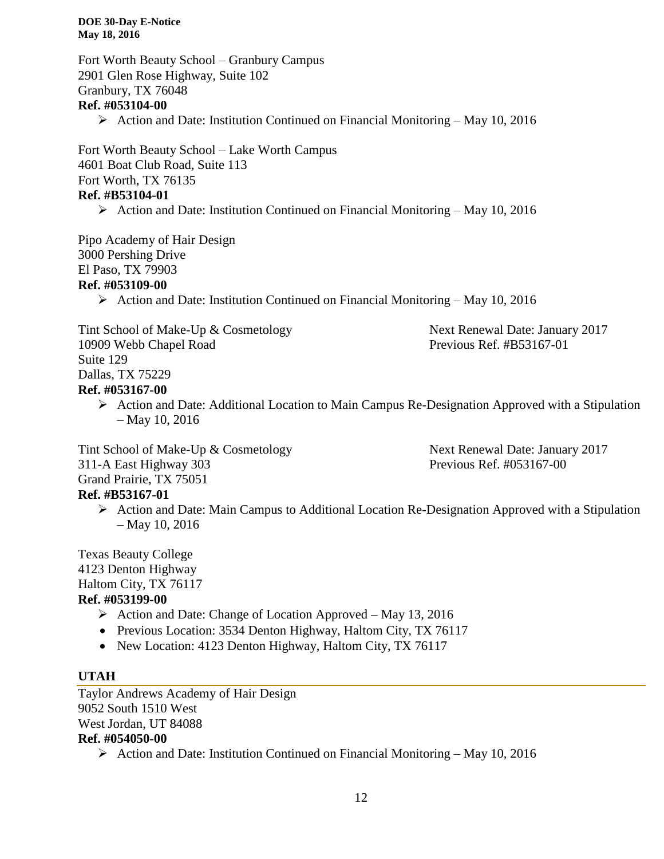Fort Worth Beauty School – Granbury Campus 2901 Glen Rose Highway, Suite 102 Granbury, TX 76048 **Ref. #053104-00**  $\triangleright$  Action and Date: Institution Continued on Financial Monitoring – May 10, 2016

Fort Worth Beauty School – Lake Worth Campus 4601 Boat Club Road, Suite 113 Fort Worth, TX 76135 **Ref. #B53104-01**

 $\triangleright$  Action and Date: Institution Continued on Financial Monitoring – May 10, 2016

Pipo Academy of Hair Design 3000 Pershing Drive El Paso, TX 79903

#### **Ref. #053109-00**

 $\triangleright$  Action and Date: Institution Continued on Financial Monitoring – May 10, 2016

Tint School of Make-Up & Cosmetology Next Renewal Date: January 2017 10909 Webb Chapel Road Previous Ref. #B53167-01 Suite 129 Dallas, TX 75229 **Ref. #053167-00**

 $\triangleright$  Action and Date: Additional Location to Main Campus Re-Designation Approved with a Stipulation – May 10, 2016

Tint School of Make-Up & Cosmetology Next Renewal Date: January 2017 311-A East Highway 303 Previous Ref. #053167-00 Grand Prairie, TX 75051

# **Ref. #B53167-01**

 Action and Date: Main Campus to Additional Location Re-Designation Approved with a Stipulation – May 10, 2016

Texas Beauty College 4123 Denton Highway Haltom City, TX 76117 **Ref. #053199-00**

- $\triangleright$  Action and Date: Change of Location Approved May 13, 2016
- Previous Location: 3534 Denton Highway, Haltom City, TX 76117
- New Location: 4123 Denton Highway, Haltom City, TX 76117

# **UTAH**

Taylor Andrews Academy of Hair Design 9052 South 1510 West West Jordan, UT 84088 **Ref. #054050-00**

Action and Date: Institution Continued on Financial Monitoring – May 10, 2016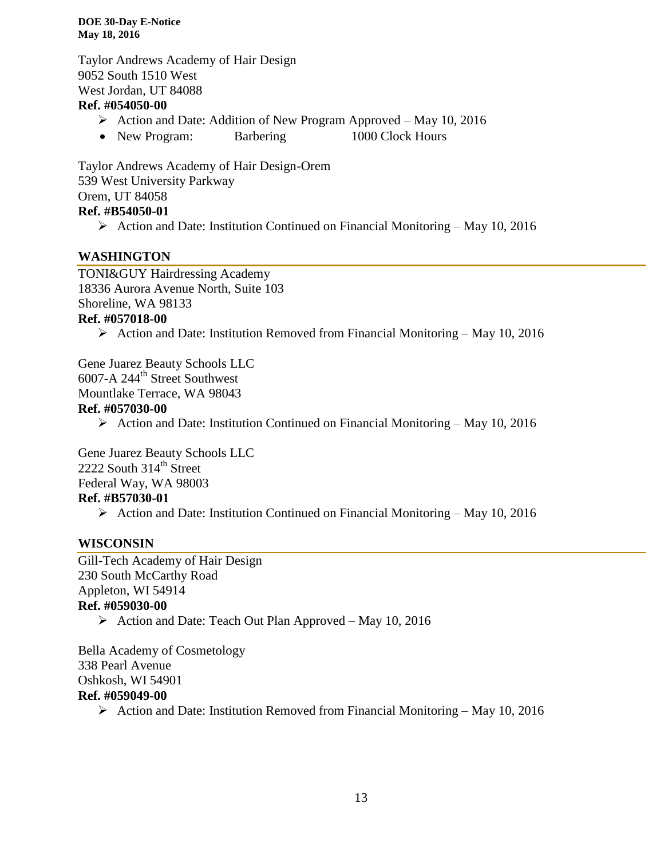Taylor Andrews Academy of Hair Design 9052 South 1510 West West Jordan, UT 84088

#### **Ref. #054050-00**

- $\triangleright$  Action and Date: Addition of New Program Approved May 10, 2016
- New Program: Barbering 1000 Clock Hours

Taylor Andrews Academy of Hair Design-Orem 539 West University Parkway Orem, UT 84058 **Ref. #B54050-01**

 $\triangleright$  Action and Date: Institution Continued on Financial Monitoring – May 10, 2016

### **WASHINGTON**

TONI&GUY Hairdressing Academy 18336 Aurora Avenue North, Suite 103 Shoreline, WA 98133 **Ref. #057018-00**

 $\triangleright$  Action and Date: Institution Removed from Financial Monitoring – May 10, 2016

Gene Juarez Beauty Schools LLC  $6007-A$  244<sup>th</sup> Street Southwest Mountlake Terrace, WA 98043

# **Ref. #057030-00**

 $\triangleright$  Action and Date: Institution Continued on Financial Monitoring – May 10, 2016

Gene Juarez Beauty Schools LLC  $2222$  South  $314^{\text{th}}$  Street Federal Way, WA 98003 **Ref. #B57030-01**

Action and Date: Institution Continued on Financial Monitoring – May 10, 2016

### **WISCONSIN**

Gill-Tech Academy of Hair Design 230 South McCarthy Road Appleton, WI 54914 **Ref. #059030-00**  $\triangleright$  Action and Date: Teach Out Plan Approved – May 10, 2016

Bella Academy of Cosmetology 338 Pearl Avenue Oshkosh, WI 54901 **Ref. #059049-00**

Action and Date: Institution Removed from Financial Monitoring – May 10, 2016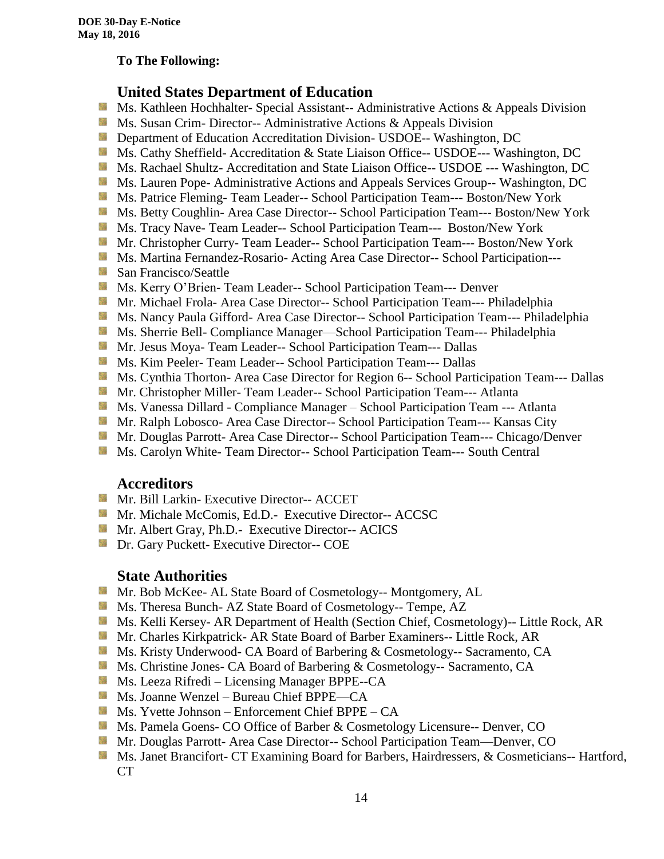#### **To The Following:**

# **United States Department of Education**

- 鬣 Ms. Kathleen Hochhalter- Special Assistant-- Administrative Actions & Appeals Division
- **Ms.** Susan Crim-Director-- Administrative Actions  $\&$  Appeals Division
- **Department of Education Accreditation Division- USDOE-- Washington, DC**
- Ms. Cathy Sheffield- Accreditation & State Liaison Office-- USDOE--- Washington, DC
- **MS. Rachael Shultz- Accreditation and State Liaison Office-- USDOE --- Washington, DC**
- Ms. Lauren Pope- Administrative Actions and Appeals Services Group-- Washington, DC
- Ms. Patrice Fleming-Team Leader-- School Participation Team--- Boston/New York
- **MS. Betty Coughlin- Area Case Director-- School Participation Team--- Boston/New York**
- Ms. Tracy Nave-Team Leader-- School Participation Team--- Boston/New York
- **Mr.** Christopher Curry- Team Leader-- School Participation Team--- Boston/New York
- **Ms. Martina Fernandez-Rosario-Acting Area Case Director-- School Participation---**
- **San Francisco/Seattle**
- **MS. Kerry O'Brien- Team Leader-- School Participation Team--- Denver**
- **Mr. Michael Frola- Area Case Director-- School Participation Team--- Philadelphia**
- Ms. Nancy Paula Gifford- Area Case Director-- School Participation Team--- Philadelphia
- Ms. Sherrie Bell- Compliance Manager—School Participation Team--- Philadelphia
- **Mr. Jesus Moya- Team Leader-- School Participation Team--- Dallas**
- **MS. Kim Peeler-Team Leader-- School Participation Team--- Dallas**
- **Ms. Cynthia Thorton- Area Case Director for Region 6-- School Participation Team--- Dallas**
- **Mr. Christopher Miller-Team Leader-- School Participation Team--- Atlanta**
- **MS. Vanessa Dillard Compliance Manager School Participation Team --- Atlanta**
- Mr. Ralph Lobosco- Area Case Director-- School Participation Team--- Kansas City
- Mr. Douglas Parrott- Area Case Director-- School Participation Team--- Chicago/Denver
- **Ms. Carolyn White- Team Director-- School Participation Team--- South Central**

#### **Accreditors**

- **Mr. Bill Larkin- Executive Director-- ACCET**
- **Mr. Michale McComis, Ed.D.- Executive Director-- ACCSC**
- **Mr.** Albert Gray, Ph.D.- Executive Director-- ACICS
- **Dr.** Gary Puckett- Executive Director-- COE

#### **State Authorities**

- Mr. Bob McKee- AL State Board of Cosmetology-- Montgomery, AL
- Ms. Theresa Bunch- AZ State Board of Cosmetology-- Tempe, AZ
- **Ms. Kelli Kersey- AR Department of Health (Section Chief, Cosmetology)**-- Little Rock, AR
- Mr. Charles Kirkpatrick- AR State Board of Barber Examiners-- Little Rock, AR
- Ms. Kristy Underwood- CA Board of Barbering & Cosmetology-- Sacramento, CA
- **Ms.** Christine Jones- CA Board of Barbering & Cosmetology-- Sacramento, CA
- Ms. Leeza Rifredi Licensing Manager BPPE--CA
- Ms. Joanne Wenzel Bureau Chief BPPE—CA
- $M_s$  Ms. Yvette Johnson Enforcement Chief BPPE CA
- **Ms. Pamela Goens- CO Office of Barber & Cosmetology Licensure-- Denver, CO**
- Mr. Douglas Parrott- Area Case Director-- School Participation Team—Denver, CO
- Ms. Janet Brancifort- CT Examining Board for Barbers, Hairdressers, & Cosmeticians-- Hartford, CT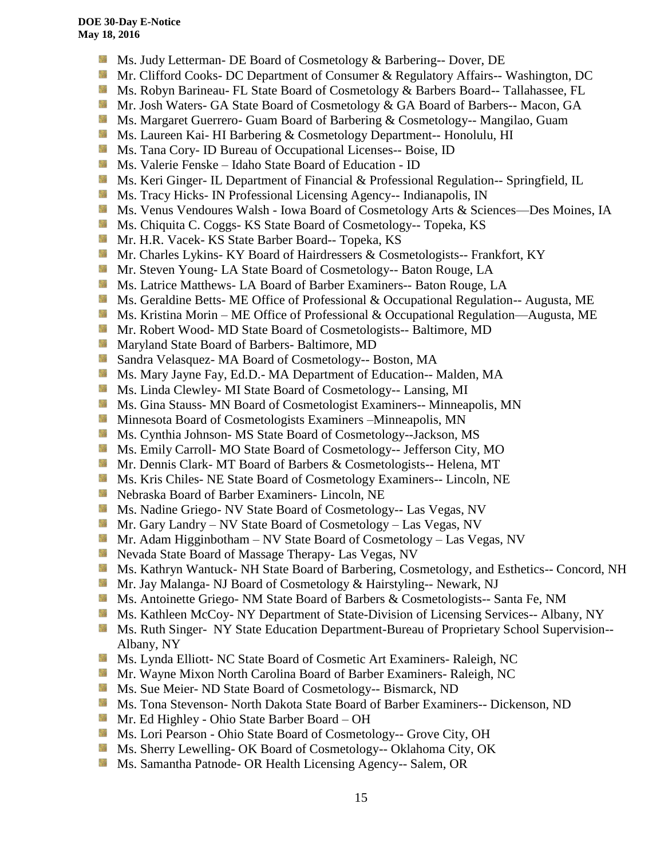- 漆 Ms. Judy Letterman- DE Board of Cosmetology & Barbering-- Dover, DE
- Mr. Clifford Cooks- DC Department of Consumer & Regulatory Affairs-- Washington, DC
- Ms. Robyn Barineau- FL State Board of Cosmetology & Barbers Board-- Tallahassee, FL
- Mr. Josh Waters- GA State Board of Cosmetology & GA Board of Barbers-- Macon, GA
- **MS. Margaret Guerrero- Guam Board of Barbering & Cosmetology-- Mangilao, Guam**
- **Ms. Laureen Kai- HI Barbering & Cosmetology Department-- Honolulu, HI**
- **Ms.** Tana Cory- ID Bureau of Occupational Licenses-- Boise, ID
- Ms. Valerie Fenske Idaho State Board of Education ID
- Side. Ms. Keri Ginger- IL Department of Financial & Professional Regulation-- Springfield, IL
- **Ms.** Tracy Hicks- IN Professional Licensing Agency-- Indianapolis, IN
- **Ms. Venus Vendoures Walsh Iowa Board of Cosmetology Arts & Sciences—Des Moines, IA**
- 56 Ms. Chiquita C. Coggs- KS State Board of Cosmetology-- Topeka, KS
- Mr. H.R. Vacek- KS State Barber Board-- Topeka, KS
- Mr. Charles Lykins- KY Board of Hairdressers & Cosmetologists-- Frankfort, KY
- **Mr. Steven Young- LA State Board of Cosmetology-- Baton Rouge, LA**
- **Ms. Latrice Matthews- LA Board of Barber Examiners-- Baton Rouge, LA**
- **Ms. Geraldine Betts- ME Office of Professional & Occupational Regulation-- Augusta, ME**
- Ms. Kristina Morin ME Office of Professional & Occupational Regulation—Augusta, ME
- **Mr. Robert Wood- MD State Board of Cosmetologists-- Baltimore, MD**
- 56 Maryland State Board of Barbers- Baltimore, MD
- **Sandra Velasquez- MA Board of Cosmetology-- Boston, MA**
- Ms. Mary Jayne Fay, Ed.D.- MA Department of Education-- Malden, MA
- Ms. Linda Clewley- MI State Board of Cosmetology-- Lansing, MI
- Ms. Gina Stauss- MN Board of Cosmetologist Examiners-- Minneapolis, MN
- 59 Minnesota Board of Cosmetologists Examiners –Minneapolis, MN
- **Ms. Cynthia Johnson- MS State Board of Cosmetology--Jackson, MS**
- **Ms. Emily Carroll- MO State Board of Cosmetology-- Jefferson City, MO**
- Mr. Dennis Clark- MT Board of Barbers & Cosmetologists-- Helena, MT
- **Ms. Kris Chiles- NE State Board of Cosmetology Examiners-- Lincoln, NE**
- Nebraska Board of Barber Examiners- Lincoln, NE
- **Ms. Nadine Griego- NV State Board of Cosmetology-- Las Vegas, NV**
- Mr. Gary Landry NV State Board of Cosmetology Las Vegas, NV
- **Mr.** Adam Higginbotham NV State Board of Cosmetology Las Vegas, NV
- Nevada State Board of Massage Therapy- Las Vegas, NV
- **Ms. Kathryn Wantuck- NH State Board of Barbering, Cosmetology, and Esthetics-- Concord, NH**
- Mr. Jay Malanga- NJ Board of Cosmetology & Hairstyling-- Newark, NJ
- **MS.** Antoinette Griego- NM State Board of Barbers & Cosmetologists-- Santa Fe, NM
- **Ms. Kathleen McCoy- NY Department of State-Division of Licensing Services-- Albany, NY**
- **MS. Ruth Singer- NY State Education Department-Bureau of Proprietary School Supervision--**Albany, NY
- **Ms. Lynda Elliott- NC State Board of Cosmetic Art Examiners- Raleigh, NC**
- Mr. Wayne Mixon North Carolina Board of Barber Examiners- Raleigh, NC
- **MS.** Sue Meier- ND State Board of Cosmetology-- Bismarck, ND
- **Ms. Tona Stevenson- North Dakota State Board of Barber Examiners-- Dickenson, ND**
- Mr. Ed Highley Ohio State Barber Board OH
- Ms. Lori Pearson Ohio State Board of Cosmetology-- Grove City, OH
- **Ms. Sherry Lewelling- OK Board of Cosmetology-- Oklahoma City, OK**
- **Ms. Samantha Patnode- OR Health Licensing Agency-- Salem, OR**